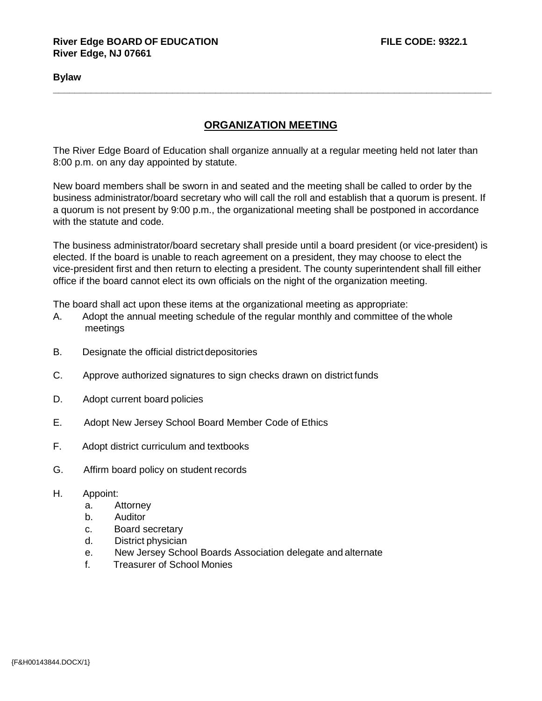## **Bylaw**

## **ORGANIZATION MEETING**

**\_\_\_\_\_\_\_\_\_\_\_\_\_\_\_\_\_\_\_\_\_\_\_\_\_\_\_\_\_\_\_\_\_\_\_\_\_\_\_\_\_\_\_\_\_\_\_\_\_\_\_\_\_\_\_\_\_\_\_\_\_\_\_\_\_\_\_\_\_\_\_\_\_\_\_\_\_\_\_\_\_**

The River Edge Board of Education shall organize annually at a regular meeting held not later than 8:00 p.m. on any day appointed by statute.

New board members shall be sworn in and seated and the meeting shall be called to order by the business administrator/board secretary who will call the roll and establish that a quorum is present. If a quorum is not present by 9:00 p.m., the organizational meeting shall be postponed in accordance with the statute and code.

The business administrator/board secretary shall preside until a board president (or vice-president) is elected. If the board is unable to reach agreement on a president, they may choose to elect the vice-president first and then return to electing a president. The county superintendent shall fill either office if the board cannot elect its own officials on the night of the organization meeting.

The board shall act upon these items at the organizational meeting as appropriate:

- A. Adopt the annual meeting schedule of the regular monthly and committee of the whole meetings
- B. Designate the official district depositories
- C. Approve authorized signatures to sign checks drawn on district funds
- D. Adopt current board policies
- E. Adopt New Jersey School Board Member Code of Ethics
- F. Adopt district curriculum and textbooks
- G. Affirm board policy on student records
- H. Appoint:
	- a. Attorney
	- b. Auditor
	- c. Board secretary
	- d. District physician
	- e. New Jersey School Boards Association delegate and alternate
	- f. Treasurer of School Monies